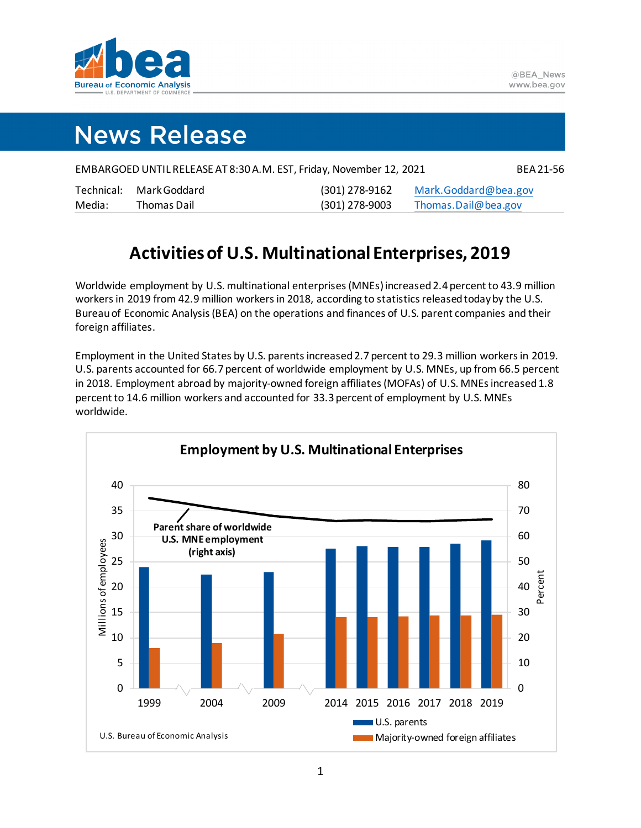

# **News Release**

| EMBARGOED UNTIL RELEASE AT 8:30 A.M. EST, Friday, November 12, 2021 |              |                |                      |  |  |  |  |  |  |  |
|---------------------------------------------------------------------|--------------|----------------|----------------------|--|--|--|--|--|--|--|
| Technical:                                                          | Mark Goddard | (301) 278-9162 | Mark.Goddard@bea.gov |  |  |  |  |  |  |  |
| Media:                                                              | Thomas Dail  | (301) 278-9003 | Thomas.Dail@bea.gov  |  |  |  |  |  |  |  |

# **Activities of U.S. Multinational Enterprises, 2019**

Worldwide employment by U.S. multinational enterprises (MNEs) increased2.4 percent to 43.9 million workers in 2019 from 42.9 million workersin 2018, according to statistics releasedtodayby the U.S. Bureau of Economic Analysis(BEA) on the operations and finances of U.S. parent companies and their foreign affiliates.

Employment in the United States by U.S. parents increased 2.7 percent to 29.3 million workers in 2019. U.S. parents accounted for 66.7 percent of worldwide employment by U.S. MNEs, up from 66.5 percent in 2018. Employment abroad by majority-owned foreign affiliates(MOFAs) of U.S. MNEs increased 1.8 percent to 14.6 million workers and accounted for 33.3 percent of employment by U.S. MNEs worldwide.

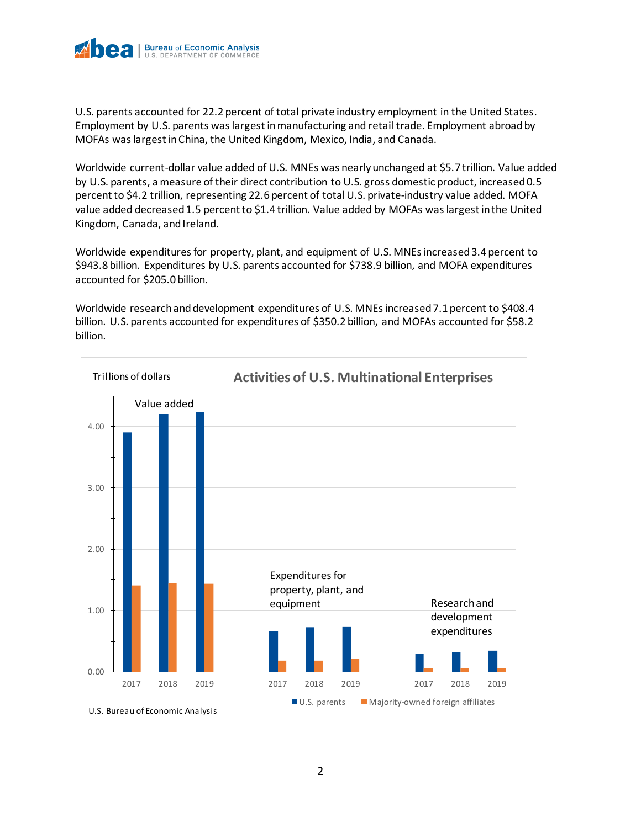

U.S. parents accounted for 22.2 percent of total private industry employment in the United States. Employment by U.S. parents was largest inmanufacturing and retail trade. Employment abroad by MOFAs was largest inChina, the United Kingdom, Mexico, India, and Canada.

Worldwide current-dollar value added of U.S. MNEs was nearly unchanged at \$5.7 trillion. Value added by U.S. parents, a measure of their direct contribution to U.S. gross domestic product, increased 0.5 percent to \$4.2 trillion, representing 22.6 percent of total U.S. private-industry value added. MOFA value added decreased 1.5 percent to \$1.4 trillion. Value added by MOFAs waslargest in the United Kingdom, Canada, and Ireland.

Worldwide expenditures for property, plant, and equipment of U.S. MNEs increased 3.4 percent to \$943.8 billion. Expenditures by U.S. parents accounted for \$738.9 billion, and MOFA expenditures accounted for \$205.0 billion.

Worldwide research and development expenditures of U.S. MNEs increased7.1 percent to \$408.4 billion. U.S. parents accounted for expenditures of \$350.2 billion, and MOFAs accounted for \$58.2 billion.

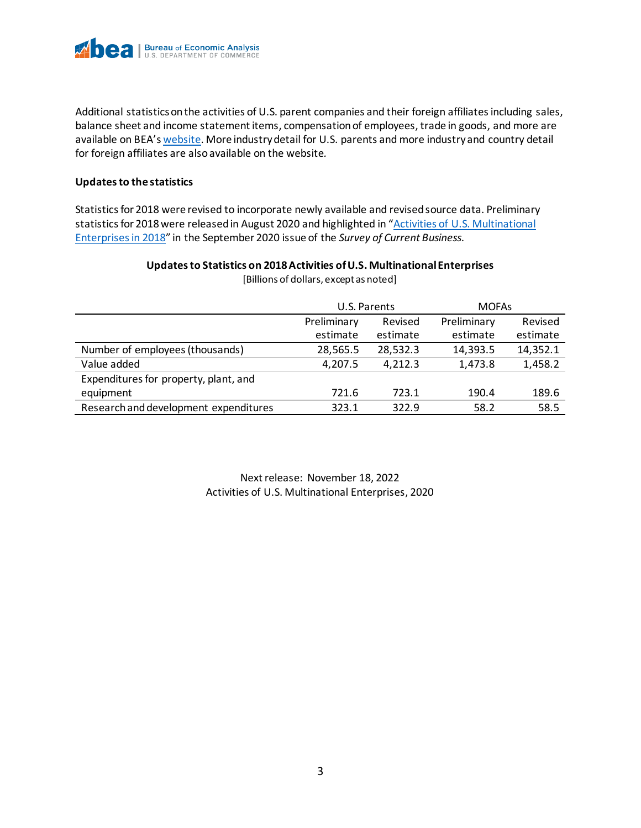

Additional statistics on the activities of U.S. parent companies and their foreign affiliates including sales, balance sheet and income statement items, compensation of employees, trade in goods, and more are available on BEA'[s website.](https://www.bea.gov/data/intl-trade-investment/activities-us-multinational-enterprises-mnes) More industry detail for U.S. parents and more industry and country detail for foreign affiliates are also available on the website*.*

### **Updates to the statistics**

Statistics for 2018 were revised to incorporate newly available and revised source data. Preliminary statistics for 2018 were released in August 2020 and highlighted in "Activities of U.S. Multinational [Enterprises in 2018"](https://apps.bea.gov/scb/2020/09-september/0920-multinational-enterprises.htm) in the September 2020 issue of the *Survey of Current Business*.

### **Updates to Statistics on 2018Activities of U.S. Multinational Enterprises**

|                                       | U.S. Parents |          | <b>MOFAs</b> |          |
|---------------------------------------|--------------|----------|--------------|----------|
|                                       | Preliminary  | Revised  | Preliminary  | Revised  |
|                                       | estimate     | estimate | estimate     | estimate |
| Number of employees (thousands)       | 28,565.5     | 28,532.3 | 14,393.5     | 14,352.1 |
| Value added                           | 4,207.5      | 4,212.3  | 1,473.8      | 1,458.2  |
| Expenditures for property, plant, and |              |          |              |          |
| equipment                             | 721.6        | 723.1    | 190.4        | 189.6    |
| Research and development expenditures | 323.1        | 322.9    | 58.2         | 58.5     |

[Billions of dollars, except as noted]

Next release: November 18, 2022 Activities of U.S. Multinational Enterprises, 2020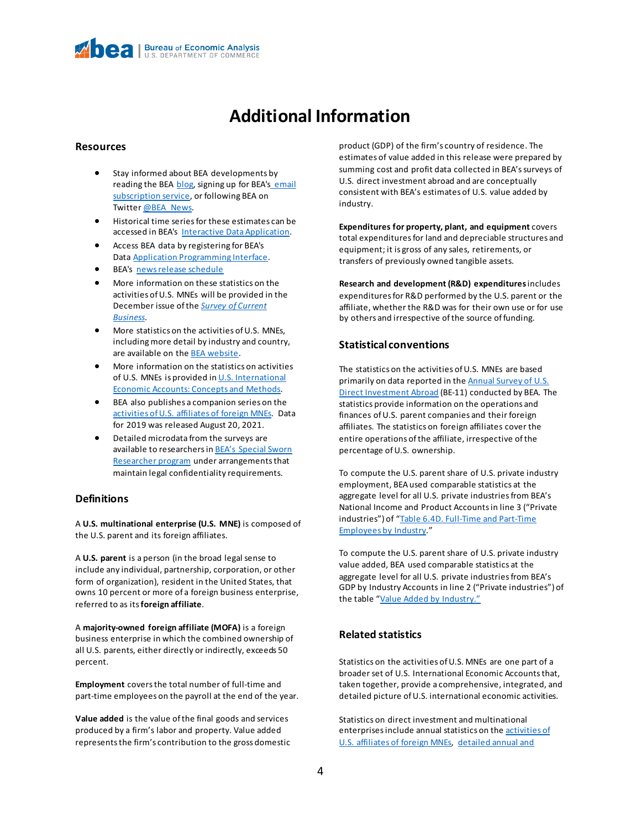## **Additional Information**

#### **Resources**

- Stay informed about BEA developments by reading the BEA [blog,](https://www.bea.gov/news/blog) signing up for BEA's email [subscription service,](https://www.bea.gov/_subscribe/) or following BEA on Twitter [@BEA\\_News.](https://www.twitter.com/BEA_News)
- Historical time series for these estimates can be accessed in BEA's [Interactive Data Application.](https://apps.bea.gov/iTable/index_MNC.cfm)
- Access BEA data by registering for BEA's Data [Application Programming Interface.](https://apps.bea.gov/API/signup/index.cfm)
- BEA's [news release schedule](https://www.bea.gov/news/schedule)
- More information on these statistics on the activities of U.S. MNEs will be provided in the December issue of the *[Survey of Current](https://apps.bea.gov/scb/index.htm)  [Business](https://apps.bea.gov/scb/index.htm)*.
- More statistics on the activities of U.S. MNEs, including more detail by industry and country, are available on th[e BEA website.](https://www.bea.gov/data/intl-trade-investment/activities-us-multinational-enterprises-mnes)
- More information on the statistics on activities of U.S. MNEs is provided in [U.S. International](https://www.bea.gov/resources/methodologies/us-international-economic-accounts-concepts-methods)  [Economic Accounts: Concepts and Methods.](https://www.bea.gov/resources/methodologies/us-international-economic-accounts-concepts-methods)
- BEA also publishes a companion series on the [activities of U.S. affiliates of foreign MNEs.](https://www.bea.gov/data/intl-trade-investment/activities-us-affiliates-foreign-mnes) Data for 2019 was released August 20, 2021.
- Detailed microdata from the surveys are available to researchers in **BEA's Special Sworn** [Researcher program](https://www.bea.gov/research/special-sworn-researcher-program) under arrangements that maintain legal confidentiality requirements.

#### **Definitions**

A **U.S. multinational enterprise (U.S. MNE)** is composed of the U.S. parent and its foreign affiliates.

A **U.S. parent** is a person (in the broad legal sense to include any individual, partnership, corporation, or other form of organization), resident in the United States, that owns 10 percent or more of a foreign business enterprise, referred to as its**foreign affiliate**.

A **majority-owned foreign affiliate (MOFA)** is a foreign business enterprise in which the combined ownership of all U.S. parents, either directly or indirectly, exceeds 50 percent.

**Employment** covers the total number of full-time and part-time employees on the payroll at the end of the year.

**Value added** is the value of the final goods and services produced by a firm's labor and property. Value added represents the firm's contribution to the gross domestic product (GDP) of the firm's country of residence. The estimates of value added in this release were prepared by summing cost and profit data collected in BEA's surveys of U.S. direct investment abroad and are conceptually consistent with BEA's estimates of U.S. value added by industry.

**Expenditures for property, plant, and equipment** covers total expenditures for land and depreciable structures and equipment; it is gross of any sales, retirements, or transfers of previously owned tangible assets.

**Research and development (R&D) expenditures**includes expenditures for R&D performed by the U.S. parent or the affiliate, whether the R&D was for their own use or for use by others and irrespective of the source of funding.

#### **Statistical conventions**

The statistics on the activities of U.S. MNEs are based primarily on data reported in the **Annual Survey of U.S.** [Direct Investment Abroad](https://www.bea.gov/surveys/diasurv) (BE-11) conducted by BEA. The statistics provide information on the operations and finances of U.S. parent companies and their foreign affiliates. The statistics on foreign affiliates cover the entire operations of the affiliate, irrespective of the percentage of U.S. ownership.

To compute the U.S. parent share of U.S. private industry employment, BEA used comparable statistics at the aggregate level for all U.S. private industries from BEA's National Income and Product Accounts in line 3 ("Private industries") of "Table 6.4D. [Full-Time and Part-Time](https://apps.bea.gov/iTable/iTable.cfm?reqid=19&step=3&isuri=1&1921=survey&1903=193)  [Employees by Industry.](https://apps.bea.gov/iTable/iTable.cfm?reqid=19&step=3&isuri=1&1921=survey&1903=193)"

To compute the U.S. parent share of U.S. private industry value added, BEA used comparable statistics at the aggregate level for all U.S. private industries from BEA's GDP by Industry Accounts in line 2 ("Private industries") of the table ["Value Added by Industry."](https://apps.bea.gov/iTable/iTable.cfm?reqid=150&step=3&isuri=1&table_list=1&series=a&first_year=2017&columns=ii&scale=-9&last_year=2020&categories=gdpxind&thetable=&rows=22r)

#### **Related statistics**

Statistics on the activities of U.S. MNEs are one part of a broader set of U.S. International Economic Accounts that, taken together, provide a comprehensive, integrated, and detailed picture of U.S. international economic activities.

Statistics on direct investment and multinational enterprises include annual statistics on the activities of [U.S. affiliates of foreign MNEs,](https://www.bea.gov/data/intl-trade-investment/activities-us-affiliates-foreign-mnes) [detailed annual and](https://www.bea.gov/products/direct-investment-country-and-industry)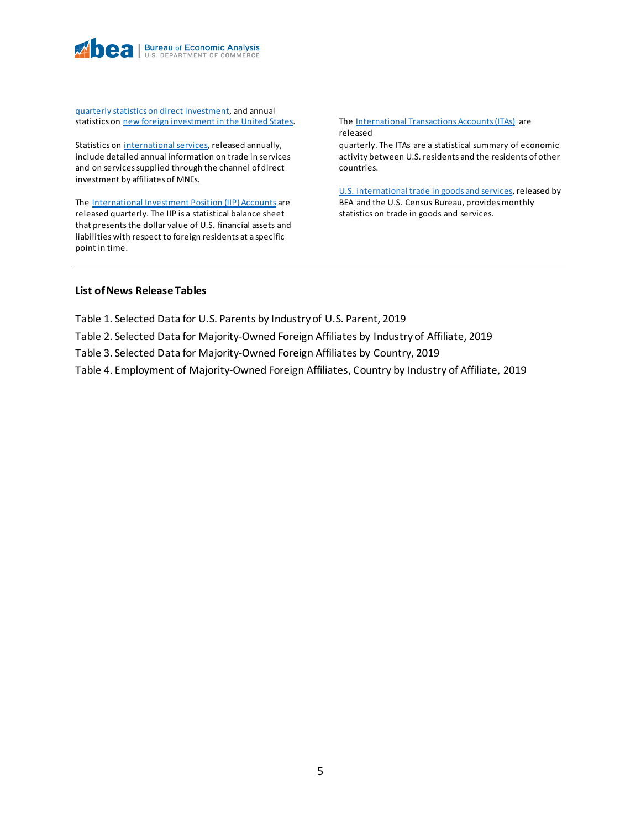

[quarterly statistics on direct investment,](https://www.bea.gov/products/direct-investment-country-and-industry) and annual statistics o[n new foreign investment in the United States.](https://www.bea.gov/data/intl-trade-investment/new-foreign-direct-investment-united-states)

Statistics on [international services,](https://www.bea.gov/data/intl-trade-investment/international-services-expanded) released annually, include detailed annual information on trade in services and on services supplied through the channel of direct investment by affiliates of MNEs.

Th[e International Investment Position \(IIP\) Accounts](https://www.bea.gov/data/intl-trade-investment/international-investment-position) are released quarterly. The IIP is a statistical balance sheet that presents the dollar value of U.S. financial assets and liabilities with respect to foreign residents at a specific point in time.

Th[e International Transactions Accounts \(ITAs\)](https://www.bea.gov/data/intl-trade-investment/international-transactions) are released

quarterly. The ITAs are a statistical summary of economic activity between U.S. residents and the residents of other countries.

[U.S. international trade in goods and services,](https://www.bea.gov/data/intl-trade-investment/international-trade-goods-and-services) released by BEA and the U.S. Census Bureau, provides monthly statistics on trade in goods and services.

#### **List of News Release Tables**

Table 1. Selected Data for U.S. Parents by Industry of U.S. Parent, 2019

- Table 2. Selected Data for Majority-Owned Foreign Affiliates by Industry of Affiliate, 2019
- Table 3. Selected Data for Majority-Owned Foreign Affiliates by Country, 2019

Table 4. Employment of Majority-Owned Foreign Affiliates, Country by Industry of Affiliate, 2019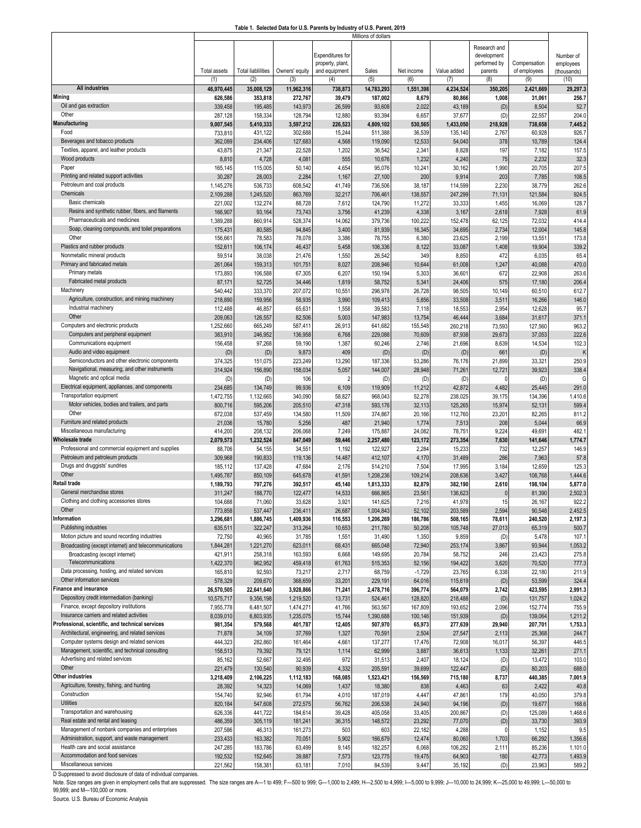#### **Table 1. Selected Data for U.S. Parents by Industry of U.S. Parent, 2019**

|                                                                            |                     |                           |                       |                         | Millions of dollars |                 |                    |                |                     |                     |
|----------------------------------------------------------------------------|---------------------|---------------------------|-----------------------|-------------------------|---------------------|-----------------|--------------------|----------------|---------------------|---------------------|
|                                                                            |                     |                           |                       |                         |                     |                 |                    | Research and   |                     |                     |
|                                                                            |                     |                           |                       | <b>Expenditures</b> for |                     |                 |                    | development    |                     | Number of           |
|                                                                            |                     | <b>Total liablilities</b> |                       | property, plant,        |                     | Net income      |                    | performed by   | Compensation        | employees           |
|                                                                            | Total assets<br>(1) | (2)                       | Owners' equity<br>(3) | and equipment<br>(4)    | Sales<br>(5)        | (6)             | Value added<br>(7) | parents<br>(8) | of employees<br>(9) | (thousands)<br>(10) |
| <b>All industries</b>                                                      | 46,970,445          | 35,008,129                | 11,962,316            | 738,873                 | 14,783,293          | 1,551,398       | 4,234,524          | 350,205        | 2,421,669           | 29,297.3            |
| Mining                                                                     | 626,586             | 353,818                   | 272,767               | 39,479                  | 187,002             | 8,679           | 80,866             | 1,008          | 31,061              | 256.7               |
| Oil and gas extraction                                                     | 339,458             | 195,485                   | 143,973               | 26,599                  | 93,608              | 2,022           | 43,189             | (D)            | 8,504               | 52.7                |
| Other                                                                      | 287,128             | 158,334                   | 128,794               | 12,880                  | 93,394              | 6,657           | 37,677             | (D)            | 22,557              | 204.0               |
| Manufacturing                                                              | 9,007,545           | 5,410,333                 | 3,597,212             | 226,523                 | 4,809,102           | 530,565         | 1,433,050          | 218,928        | 738,658             | 7,445.2             |
| Food                                                                       | 733,810             | 431,122                   | 302,688               | 15,244                  | 511,388             | 36,539          | 135,140            | 2,767          | 60,928              | 926.7               |
| Beverages and tobacco products                                             | 362,089             | 234,406                   | 127,683               | 4,568                   | 119,090             | 12,533          | 54,040             | 378            | 10,789              | 124.4               |
| Textiles, apparel, and leather products                                    | 43,875              | 21,347                    | 22,528                | 1,202                   | 36,542              | 2,341           | 8,828              | 197            | 7,182               | 157.5               |
| Wood products                                                              | 8,810               | 4,728                     | 4,081                 | 555                     | 10,676              | 1,232           | 4,240              | 75             | 2,232               | 32.3                |
| Paper                                                                      | 165,145             | 115,005                   | 50,140                | 4,654                   | 95,076              | 10,24           | 30,162             | 1,990          | 20,705              | 207.5               |
| Printing and related support activities                                    | 30,287              | 28,003                    | 2,284                 | 1,167                   | 27,100              | 200             | 9,914              | 203            | 7,785               | 108.5               |
| Petroleum and coal products                                                | 1,145,276           | 536,733                   | 608,542               | 41,749                  | 736,506             | 38,187          | 114,599            | 2,230          | 38,779              | 262.6               |
| Chemicals                                                                  | 2,109,288           | 1,245,520                 | 863,769               | 32,217                  | 706,461             | 138,557         | 247,299            | 71,131         | 121,584             | 924.5               |
| Basic chemicals                                                            | 221,002             | 132,274                   | 88,728                | 7,612                   | 124,790             | 11,272          | 33,333             | 1,455          | 16,069              | 128.7               |
| Resins and synthetic rubber, fibers, and filaments                         | 166,907             | 93,164                    | 73,743                | 3,756                   | 41,239              | 4,338           | 3,167              | 2,618          | 7,928               | 61.9                |
| Pharmaceuticals and medicines                                              | 1,389,288           | 860,914                   | 528,374               | 14,062                  | 379,736             | 100,222         | 152,478            | 62,125         | 72,032              | 414.4               |
| Soap, cleaning compounds, and toilet preparations                          | 175,43'             | 80,585                    | 94,845                | 3,400                   | 81,939              | 16,345          | 34,695             | 2,734          | 12,004              | 145.8               |
| Other                                                                      | 156,66              | 78,583                    | 78,078                | 3,386                   | 78,755              | 6,380           | 23,625             | 2,199          | 13,551              | 173.8               |
| Plastics and rubber products                                               | 152,611             | 106,174                   | 46,437                | 5,458                   | 106,336             | 8,122           | 33,087             | 1,408          | 19,904              | 339.2               |
| Nonmetallic mineral products                                               | 59,514              | 38,038                    | 21,476                | 1,550                   | 26,542              | 349             | 8,850              | 472            | 6,035               | 65.4                |
| Primary and fabricated metals                                              | 261,064             | 159,313                   | 101,751               | 8,027                   | 208,946             | 10,644          | 61,008             | 1,247          | 40,088              | 470.0               |
| Primary metals                                                             | 173,893             | 106,588                   | 67,305                | 6,20                    | 150,194             | 5,303           | 36,601             | 672            | 22,908              | 263.6               |
| Fabricated metal products                                                  | 87,171              | 52,725                    | 34,446                | 1,819                   | 58,752              | 5,341           | 24,406             | 575            | 17,180              | 206.4               |
| Machinery                                                                  | 540,442             | 333,370                   | 207,072               | 10,55                   | 296,978             | 26,728          | 98,505             | 10,149         | 60,510              | 612.7               |
| Agriculture, construction, and mining machinery                            | 218,890             | 159,956                   | 58,935                | 3,990                   | 109,413             | 5,856           | 33,508             | 3,511          | 16,266              | 146.0               |
| Industrial machinery                                                       | 112,488             | 46,857                    | 65,631                | 1,558                   | 39,583              | 7,118           | 18,553             | 2,954          | 12,628              | 95.7                |
| Other                                                                      | 209,063             | 126,557                   | 82,506                | 5,003                   | 147,983             | 13,754          | 46,444             | 3,684          | 31,617              | 371.1               |
| Computers and electronic products                                          | 1,252,660           | 665,249                   | 587,411               | 26,913                  | 641,682             | 155,548         | 260,218            | 73,593         | 127,560             | 963.2               |
| Computers and peripheral equipment                                         | 383,910             | 246,952                   | 136,958               | 6,768                   | 229,088             | 70,609          | 87,938             | 29,673         | 37,053              | 222.6               |
| Communications equipment                                                   | 156,458             | 97,268                    | 59,190                | 1,38                    | 60,246              | 2,746           | 21,696             | 8,639          | 14,534              | 102.3               |
| Audio and video equipment                                                  | (D)                 | (D)                       | 9,873                 | 409                     | (D)                 | (D)             | (D)                | 661            | (D)                 |                     |
| Semiconductors and other electronic components                             | 374,325             | 151,075                   | 223,249               | 13,290                  | 187,336             | 53,286          | 76,176             | 21,899         | 33,321              | 250.9               |
| Navigational, measuring, and other instruments                             | 314,924             | 156,890                   | 158,034               | 5,057                   | 144,007             | 28,948          | 71,261             | 12,721         | 39,923              | 338.4               |
| Magnetic and optical media                                                 | (D)                 | (D)                       | 106                   | 2                       | (D)                 | (D)             | (D)                | 0              | (D)                 | G                   |
| Electrical equipment, appliances, and components                           | 234,685             | 134,749                   | 99,936                | 6,109                   | 119,909             | 11,212          | 42,872             | 4,482          | 25,445              | 291.0               |
| Transportation equipment<br>Motor vehicles, bodies and trailers, and parts | 1,472,755           | 1,132,665                 | 340,090<br>205,510    | 58,827                  | 968,043<br>593,176  | 52,278          | 238,025<br>125,265 | 39,175         | 134,396             | 1,410.6<br>599.4    |
| Other                                                                      | 800,716             | 595,206                   |                       | 47,318                  | 374,867             | 32,113          |                    | 15,974         | 52,131<br>82,265    |                     |
| Furniture and related products                                             | 672,038<br>21,036   | 537,459<br>15,780         | 134,580<br>5,256      | 11,509<br>487           | 21,940              | 20,166<br>1,774 | 112,760<br>7,513   | 23,201<br>208  | 5,044               | 811.2<br>66.9       |
| Miscellaneous manufacturing                                                | 414,200             | 208,132                   | 206,068               | 7,249                   | 175,887             | 24,082          | 78,751             | 9,224          | 49,691              | 482.                |
| <b>Wholesale trade</b>                                                     | 2,079,573           | 1,232,524                 | 847,049               | 59,446                  | 2,257,480           | 123,172         | 273,354            | 7,630          | 141,646             | 1,774.7             |
| Professional and commercial equipment and supplies                         | 88,706              | 54,155                    | 34,55'                | 1,192                   | 122,927             | 2,284           | 15,233             | 732            | 12,257              | 146.9               |
| Petroleum and petroleum products                                           | 309,968             | 190,833                   | 119,136               | 14,487                  | 412,107             | 4,170           | 31,489             | 286            | 7,963               | 57.8                |
| Drugs and druggists' sundries                                              | 185,112             | 137,428                   | 47,684                | 2,176                   | 514,210             | 7,504           | 17,995             | 3,184          | 12,659              | 125.3               |
| Other                                                                      | 1.495.787           | 850,109                   | 645,678               | 41,591                  | 1,208,236           | 109,214         | 208,636            | 3,427          | 108,768             | 1,444.6             |
| <b>Retail trade</b>                                                        | 1,189,793           | 797,276                   | 392,517               | 45,140                  | 1,813,333           | 82,879          | 382,190            | 2,610          | 198,104             | 5,877.0             |
| General merchandise stores                                                 | 311,247             | 188,770                   | 122,477               | 14,533                  | 666,865             | 23,56'          | 136,623            | $\Omega$       | 81,390              | 2,502.3             |
| Clothing and clothing accessories stores                                   | 104,688             | 71,060                    | 33,628                | 3,92'                   | 141,625             | 7,216           | 41,978             | 15             | 26,167              | 922.2               |
| Other                                                                      | 773,858             | 537,447                   | 236,411               | 26,687                  | 1,004,843           | 52,102          | 203,589            | 2,594          | 90,548              | 2,452.5             |
| nformation                                                                 | 3,296,681           | 1,886,745                 | 1,409,936             | 116,553                 | 1,206,269           | 186,786         | 508,165            | 78,611         | 240,520             | 2,197.3             |
| Publishing industries                                                      | 635,511             | 322,247                   | 313,264               | 10,653                  | 211,780             | 50,208          | 105,748            | 27,013         | 65,319              | 500.7               |
| Motion picture and sound recording industries                              | 72,750              | 40,965                    | 31,785                | 1,55'                   | 31,490              | 1,350           | 9,859              | (D)            | 5,478               | 107.1               |
| Broadcasting (except internet) and telecommunications                      | 1,844,281           | 1,221,270                 | 623,011               | 68,431                  | 665,048             | 72,940          | 253,174            | 3,867          | 93,944              | 1,053.2             |
| Broadcasting (except internet)                                             | 421,911             | 258,318                   | 163,593               | 6,668                   | 149,695             | 20,784          | 58,752             | 246            | 23,423              | 275.8               |
| Telecommunications                                                         | 1,422,370           | 962,952                   | 459,418               | 61,763                  | 515,353             | 52,156          | 194,422            | 3,620          | 70,520              | 777.3               |
| Data processing, hosting, and related services                             | 165,810             | 92,593                    | 73,217                | 2,717                   | 68,759              | $-1,729$        | 23,765             | 6,338          | 22,180              | 211.9               |
| Other information services                                                 | 578,329             | 209,670                   | 368,659               | 33,20'                  | 229,19              | 64,016          | 115,619            | (D)            | 53,599              | 324.4               |
| inance and insurance                                                       | 26,570,505          | 22,641,640                | 3,928,866             | 71,241                  | 2,478,716           | 396,774         | 564,079            | 2,742          | 423,595             | 2,991.3             |
| Depository credit intermediation (banking)                                 | 10,575,717          | 9,356,198                 | 1,219,520             | 13,731                  | 524,461             | 128,820         | 218,488            | (D)            | 131,757             | 1,024.2             |
| Finance, except depository institutions                                    | 7,955,778           | 6,481,507                 | 1,474,271             | 41,766                  | 563,567             | 167,809         | 193,652            | 2,096          | 152,774             | 755.9               |
| Insurance carriers and related activities                                  | 8,039,010           | 6,803,935                 | 1,235,075             | 15,744                  | 1,390,688           | 100,146         | 151,939            | (D)            | 139,064             | 1,211.2             |
| Professional, scientific, and technical services                           | 981,354             | 579,568                   | 401,787               | 12,405                  | 507,970             | 65,973          | 277,639            | 29,940         | 207,701             | 1,753.3             |
| Architectural, engineering, and related services                           | 71,878              | 34,109                    | 37,769                | 1,327                   | 70,591              | 2,504           | 27,547             | 2,113          | 25,368              | 244.7               |
| Computer systems design and related services                               | 444,323             | 282,860                   | 161,464               | 4,661                   | 137,277             | 17,476          | 72,908             | 16,017         | 56,397              | 446.5               |
| Management, scientific, and technical consulting                           | 158,513             | 79,392                    | 79,121                | 1,114                   | 62,999              | 3,887           | 36,613             | 1,133          | 32,261              | 271.1               |
| Advertising and related services<br>Other                                  | 85,162              | 52,667                    | 32,495                | 972                     | 31,513              | 2,407           | 18,124             | (D)            | 13,472              | 103.0               |
| Other industries                                                           | 221,479             | 130,540                   | 90,939                | 4,332                   | 205,59              | 39,699          | 122,447            | (D)            | 80,203              | 688.0               |
| Agriculture, forestry, fishing, and hunting                                | 3,218,409           | 2,106,225                 | 1,112,183             | 168,085<br>1,437        | 1,523,421<br>18,380 | 156,569<br>838  | 715,180<br>4,463   | 8,737<br>63    | 440,385<br>2,422    | 7,001.9<br>40.8     |
| Construction                                                               | 28,392<br>154,740   | 14,323<br>92,946          | 14,069<br>61,794      | 4,010                   | 187,019             | 4,447           | 47,861             | 179            | 40,050              | 379.8               |
| <b>Utilities</b>                                                           | 820,184             | 547,608                   | 272,575               | 56,762                  | 206,538             | 24,940          | 94,196             | (D)            | 19,677              | 168.6               |
| Transportation and warehousing                                             | 626,336             | 441,722                   | 184,614               | 39,428                  | 405,058             | 33,405          | 200,867            | (D)            | 125,089             | 1,468.6             |
| Real estate and rental and leasing                                         | 486,359             | 305,119                   | 181,241               | 36,315                  | 148,572             | 23,292          | 77,070             | (D)            | 33,730              | 393.9               |
| Management of nonbank companies and enterprises                            | 207,586             | 46,313                    | 161,273               | 503                     | 603                 | 22,182          | 4,288              | $\Omega$       | 1,152               | 9.5                 |
| Administration, support, and waste management                              | 233,433             | 163,382                   | 70,051                | 5,902                   | 166,679             | 12,474          | 80,060             | 1,703          | 66,292              | 1,356.6             |
| Health care and social assistance                                          | 247,285             | 183,786                   | 63,499                | 9,145                   | 182,257             | 6,068           | 106,282            | 2,111          | 85,236              | 1,101.0             |
| Accommodation and food services                                            | 192,532             | 152,645                   | 39,887                | 7,573                   | 123,775             | 19,475          | 64,903             | 180            | 42,773              | 1,493.9             |
| Miscellaneous services                                                     | 221,562             | 158,381                   | 63,181                | 7,010                   | 84,539              | 9,447           | 35,192             | (D)            | 23,963              | 589.2               |

D Suppressed to avoid disclosure of data of individual companies.

Note. Size ranges are given in employment cells that are suppressed. The size ranges are A—1 to 499; F—500 to 999; G—1,000 to 2,499; H—2,500 to 4,999; H—5,000 to 9,999; J—10,000 to 24,999; K—25,000 to 49,999; L—50,000 to<br>9

Source. U.S. Bureau of Economic Analysis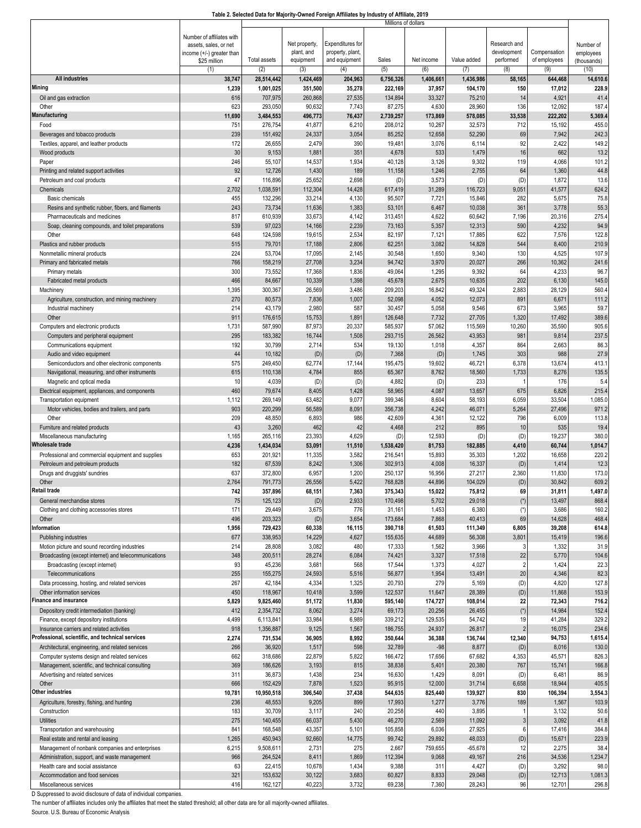|                                                                        |                           |                     |                  |                  | Millions of dollars |                 |                   |                |                 |                |
|------------------------------------------------------------------------|---------------------------|---------------------|------------------|------------------|---------------------|-----------------|-------------------|----------------|-----------------|----------------|
|                                                                        | Number of affiliates with |                     |                  |                  |                     |                 |                   |                |                 |                |
|                                                                        | assets, sales, or net     |                     | Net property,    | Expenditures for |                     |                 |                   | Research and   |                 | Number of      |
|                                                                        | income (+/-) greater than |                     | plant, and       | property, plant, |                     |                 |                   | development    | Compensation    | employees      |
|                                                                        | \$25 million              | <b>Total assets</b> | equipment        | and equipment    | Sales               | Net income      | Value added       | performed      | of employees    | (thousands)    |
|                                                                        | (1)                       | (2)                 | (3)              | (4)              | (5)                 | (6)             | (7)               | (8)            | (9)             | (10)           |
| <b>All industries</b>                                                  | 38,747                    | 28,514,442          | 1,424,469        | 204,963          | 6,756,326           | 1,406,661       | 1,436,986         | 58,165         | 644,468         | 14,610.6       |
| Mining                                                                 | 1,239                     | 1,001,025           | 351,500          | 35,278           | 222,169             | 37,957          | 104,170           | 150            | 17,012          | 228.9          |
| Oil and gas extraction                                                 | 616                       | 707,975             | 260,868          | 27,535           | 134,894             | 33,327          | 75,210            | 14             | 4,921           | 41.4           |
| Other<br>Manufacturing                                                 | 623                       | 293,050             | 90,632           | 7,743            | 87,275              | 4,630           | 28,960            | 136            | 12,092          | 187.4          |
|                                                                        | 11,690                    | 3,484,553           | 496,773          | 76,437           | 2,739,257           | 173,869         | 578,085           | 33,538         | 222,202         | 5,369.4        |
| Food                                                                   | 751<br>239                | 276,754<br>151,492  | 41,877<br>24,337 | 6,210<br>3,054   | 208,012<br>85,252   | 10,267          | 32,573<br>52,290  | 712<br>69      | 15,192<br>7,942 | 455.0<br>242.3 |
| Beverages and tobacco products                                         |                           |                     |                  |                  |                     | 12,658          |                   | 92             |                 |                |
| Textiles, apparel, and leather products                                | 172<br>30                 | 26,655<br>9,153     | 2,479<br>1,881   | 390<br>351       | 19,48'<br>4,678     | 3,076<br>533    | 6,114<br>1,479    | 16             | 2,422<br>662    | 149.2<br>13.2  |
| Wood products                                                          | 246                       | 55,107              | 14,537           | 1,934            | 40,128              | 3,126           | 9,302             | 119            | 4,066           | 101.2          |
| Paper<br>Printing and related support activities                       | 92                        | 12,726              | 1,430            | 189              | 11,158              | 1,246           | 2,755             | 64             | 1,360           | 44.8           |
| Petroleum and coal products                                            | 47                        | 116,896             | 25,652           | 2,698            | (D)                 | 3,573           | (D)               | (D)            | 1,872           | 13.6           |
| Chemicals                                                              | 2,702                     | 1,038,591           | 112,304          | 14,428           | 617,419             | 31,289          | 116,723           | 9,051          | 41,577          | 624.2          |
| Basic chemicals                                                        | 455                       | 132,296             | 33,214           | 4,130            | 95,507              | 7,721           | 15,846            | 282            | 5,675           | 75.8           |
| Resins and synthetic rubber, fibers, and filaments                     | 243                       | 73,734              | 11,636           | 1,383            | 53,10'              | 6,467           | 10,038            | 361            | 3,778           | 55.3           |
| Pharmaceuticals and medicines                                          | 817                       | 610,939             | 33,673           | 4,142            | 313,45              | 4,622           | 60,642            | 7,196          | 20,316          | 275.4          |
| Soap, cleaning compounds, and toilet preparations                      | 539                       | 97,023              | 14,166           | 2,239            | 73,163              | 5,357           | 12,313            | 590            | 4,232           | 94.9           |
| Other                                                                  | 648                       | 124,598             | 19,615           | 2,534            | 82,197              | 7,121           | 17,885            | 622            | 7,576           | 122.8          |
| Plastics and rubber products                                           | 515                       | 79,701              | 17,188           | 2,806            | 62,25'              | 3,082           | 14,828            | 544            | 8,400           | 210.9          |
| Nonmetallic mineral products                                           | 224                       | 53,704              | 17,095           | 2,145            | 30,548              | 1,650           | 9,34              | 130            | 4,525           | 107.9          |
| Primary and fabricated metals                                          | 766                       | 158,219             | 27,708           | 3,234            | 94,742              | 3,970           | 20,027            | 266            | 10,362          | 241.6          |
| Primary metals                                                         | 300                       | 73,552              | 17,368           | 1,836            | 49,064              | 1,295           | 9,392             | 64             | 4,233           | 96.7           |
| Fabricated metal products                                              | 466                       | 84,667              | 10,339           | 1,398            | 45,678              | 2,675           | 10,635            | 202            | 6,130           | 145.0          |
| Machinery                                                              | 1,395                     | 300,367             | 26,569           | 3,486            | 209,203             | 16,842          | 49,324            | 2,883          | 28,129          | 560.4          |
| Agriculture, construction, and mining machinery                        | 270                       | 80,573              | 7,836            | 1,007            | 52,098              | 4,052           | 12,073            | 891            | 6,67'           | 111.2          |
| Industrial machinery                                                   | 214                       | 43,179              | 2,980            | 587              | 30,457              | 5,058           | 9,546             | 673            | 3,965           | 59.7           |
| Other                                                                  | 91'                       | 176,615             | 15,753           | 1,891            | 126,648             | 7,732           | 27,705            | 1,320          | 17,492          | 389.6          |
| Computers and electronic products                                      | 1,731                     | 587,990             | 87,973           | 20,337           | 585,937             | 57,062          | 115,569           | 10,260         | 35,590          | 905.6          |
| Computers and peripheral equipment                                     | 295                       | 183,382             | 16,744           | 1,508            | 293,715             | 26,562          | 43,953            | 981            | 9,814           | 237.5          |
| Communications equipment                                               | 192                       | 30,799              | 2,714            | 534              | 19,130              | 1,018           | 4,35              | 864            | 2,663           | 86.3           |
| Audio and video equipment                                              | 44                        | 10,182              | (D)              | (D)              | 7,368               | (D)             | 1,745             | 303            | 988             | 27.9           |
| Semiconductors and other electronic components                         | 575                       | 249,450             | 62,774           | 17,144           | 195,475             | 19,602          | 46,72             | 6,378          | 13,674          | 413.1          |
| Navigational, measuring, and other instruments                         | 615                       | 110,138             | 4,784            | 855              | 65,367              | 8,762           | 18,560            | 1,733          | 8,276           | 135.5          |
| Magnetic and optical media                                             | 10                        | 4,039               | (D)              | (D)              | 4,882               | (D)             | 233               |                | 176             | 5.4            |
| Electrical equipment, appliances, and components                       | 460                       | 79,674              | 8,405            | 1,428            | 58,965              | 4,087           | 13,657            | 675            | 6,826           | 215.4          |
| Transportation equipment                                               | 1,112                     | 269,149             | 63,482           | 9,077            | 399,346             | 8,604           | 58,193            | 6,059          | 33,504          | 1,085.0        |
| Motor vehicles, bodies and trailers, and parts                         | 903                       | 220,299             | 56,589           | 8,091            | 356,738             | 4,242           | 46,07             | 5,264          | 27,496          | 971.2          |
| Other                                                                  | 209                       | 48,850              | 6,893            | 986              | 42,609              | 4,361           | 12,122            | 796            | 6,009           | 113.8          |
| Furniture and related products                                         | 43                        | 3,260               | 462              | 42               | 4,468               | 212             | 895               | 10             | 535             | 19.4           |
| Miscellaneous manufacturing                                            | 1,165                     | 265,116             | 23,393           | 4,629            | (D)                 | 12,593          | (D)               | (D)            | 19,237          | 380.0          |
| <b>Wholesale trade</b>                                                 | 4,236                     | 1,434,034           | 53,091           | 11,510           | 1,538,420           | 81,753          | 182,885           | 4,410          | 60,744          | 1,014.7        |
| Professional and commercial equipment and supplies                     | 653                       | 201,921             | 11,335           | 3,582            | 216,54              | 15,893          | 35,303            | 1,202          | 16,658          | 220.2          |
| Petroleum and petroleum products                                       | 182                       | 67,539              | 8,242            | 1,306            | 302,913             | 4,008           | 16,337            | (D)            | 1,414           | 12.3           |
| Drugs and druggists' sundries                                          | 637                       | 372,800             | 6,957            | 1,200            | 250,137             | 16,956          | 27,217            | 2,360          | 11,830          | 173.0          |
| Other<br><b>Retail trade</b>                                           | 2,764                     | 791,773             | 26,556           | 5,422            | 768,828             | 44,896          | 104,029           | (D)            | 30,842          | 609.2          |
|                                                                        | 742                       | 357,896             | 68,151           | 7,363            | 375,343             | 15,022          | 75,812            | 69             | 31,811          | 1,497.0        |
| General merchandise stores<br>Clothing and clothing accessories stores | 75                        | 125,123             | (D)              | 2,933            | 170,498             | 5,702           | 29,018            | $(*)$          | 13,497          | 868.4          |
| Other                                                                  | 171                       | 29,449<br>203,323   | 3,675            | 776              | 31,16'              | 1,453           | 6,380             | $(*)$          | 3,686<br>14,628 | 160.2          |
| nformation                                                             | 496<br>1,956              | 729,423             | (D)<br>60,338    | 3,654<br>16,115  | 173,684<br>390,718  | 7,868<br>61,503 | 40,413<br>111,349 | 69<br>6,805    | 39,208          | 468.4<br>614.8 |
| Publishing industries                                                  | 677                       | 338,953             | 14,229           | 4,627            | 155,635             | 44,689          | 56,308            | 3,801          | 15,419          | 196.6          |
| Motion picture and sound recording industries                          | 214                       | 28,808              | 3,082            | 480              | 17,333              | 1,562           | 3,966             |                | 1,332           | 31.9           |
| Broadcasting (except internet) and telecommunications                  | 348                       | 200,511             | 28,274           | 6,084            | 74,42'              | 3,327           | 17,518            | 22             | 5,770           | 104.6          |
| Broadcasting (except internet)                                         | 93                        | 45,236              | 3,681            | 568              | 17,544              | 1,373           | 4,027             | $\overline{2}$ | 1,424           | 22.3           |
| Telecommunications                                                     | 255                       | 155,275             | 24,593           | 5,516            | 56,877              | 1,954           | 13,491            | 20             | 4,346           | 82.3           |
| Data processing, hosting, and related services                         | 267                       | 42,184              | 4,334            | 1,325            | 20,793              | 279             | 5,169             | (D)            | 4,820           | 127.8          |
| Other information services                                             | 450                       | 118,967             | 10,418           | 3,599            | 122,537             | 11,647          | 28,389            | (D)            | 11,868          | 153.9          |
| <b>Finance and insurance</b>                                           | 5,829                     | 9,825,460           | 51,172           | 11,830           | 595,140             | 174,727         | 108,014           | 22             | 72,343          | 716.2          |
| Depository credit intermediation (banking)                             | 412                       | 2,354,732           | 8,062            | 3,274            | 69,173              | 20,256          | 26,455            | $(*)$          | 14,984          | 152.4          |
| Finance, except depository institutions                                | 4,499                     | 6,113,84            | 33,984           | 6,989            | 339,212             | 129,535         | 54,742            | 19             | 41,284          | 329.2          |
| Insurance carriers and related activities                              | 918                       | 1,356,887           | 9,125            | 1,567            | 186,755             | 24,937          | 26,817            | $\overline{2}$ | 16,075          | 234.6          |
| Professional, scientific, and technical services                       | 2,274                     | 731,534             | 36,905           | 8,992            | 350,644             | 36,388          | 136,744           | 12,340         | 94,753          | 1,615.4        |
| Architectural, engineering, and related services                       | 266                       | 36,920              | 1,517            | 598              | 32,789              | $-98$           | 8,877             | (D)            | 8,016           | 130.0          |
| Computer systems design and related services                           | 662                       | 318,686             | 22,879           | 5,822            | 166,472             | 17,656          | 67,682            | 4,353          | 45,57           | 826.3          |
| Management, scientific, and technical consulting                       | 369                       | 186,626             | 3,193            | 815              | 38,838              | 5,401           | 20,380            | 767            | 15,741          | 166.8          |
| Advertising and related services                                       | 311                       | 36,873              | 1,438            | 234              | 16,630              | 1,429           | 8,09              | (D)            | 6,48            | 86.9           |
| Other                                                                  | 666                       | 152,429             | 7,878            | 1,523            | 95,915              | 12,000          | 31,714            | 6,658          | 18,944          | 405.5          |
| Other industries                                                       | 10,781                    | 10,950,518          | 306,540          | 37,438           | 544,635             | 825,440         | 139,927           | 830            | 106,394         | 3,554.3        |
| Agriculture, forestry, fishing, and hunting                            | 236                       | 48,553              | 9,205            | 899              | 17,993              | 1,277           | 3,776             | 189            | 1,567           | 103.9          |
| Construction                                                           | 183                       | 30,709              | 3,117            | 240              | 20,258              | 440             | 3,895             |                | 3,132           | 50.6           |
| <b>Utilities</b>                                                       | 275                       | 140,455             | 66,037           | 5,430            | 46,270              | 2,569           | 11,092            | 3              | 3,092           | 41.8           |
| Transportation and warehousing                                         | 841                       | 168,548             | 43,357           | 5,101            | 105,858             | 6,036           | 27,925            | 6              | 17,416          | 384.8          |
| Real estate and rental and leasing                                     | 1,265                     | 450,943             | 92,660           | 14,775           | 99,742              | 29,892          | 48,033            | (D)            | 15,671          | 223.9          |
| Management of nonbank companies and enterprises                        | 6,215                     | 9,508,61            | 2,731            | 275              | 2,667               | 759,655         | $-65,678$         | 12             | 2,275           | 38.4           |
| Administration, support, and waste management                          | 966                       | 264,524             | 8,411            | 1,869            | 112,394             | 9,068           | 49,167            | 216            | 34,536          | 1,234.7        |
| Health care and social assistance                                      | 63                        | 22,415              | 10,678           | 1,434            | 9,388               | 311             | 4,427             | (D)            | 3,292           | 98.0           |
| Accommodation and food services                                        | 321                       | 153,632             | 30,122           | 3,683            | 60,827              | 8,833           | 29,048            | (D)            | 12,713          | 1,081.3        |
| Miscellaneous services                                                 | 416                       | 162,127             | 40,223           | 3,732            | 69,238              | 7,360           | 28,243            | 96             | 12,701          | 296.8          |

D Suppressed to avoid disclosure of data of individual companies.

The number of affiliates includes only the affiliates that meet the stated threshold; all other data are for all majority-owned affiliates. Source. U.S. Bureau of Economic Analysis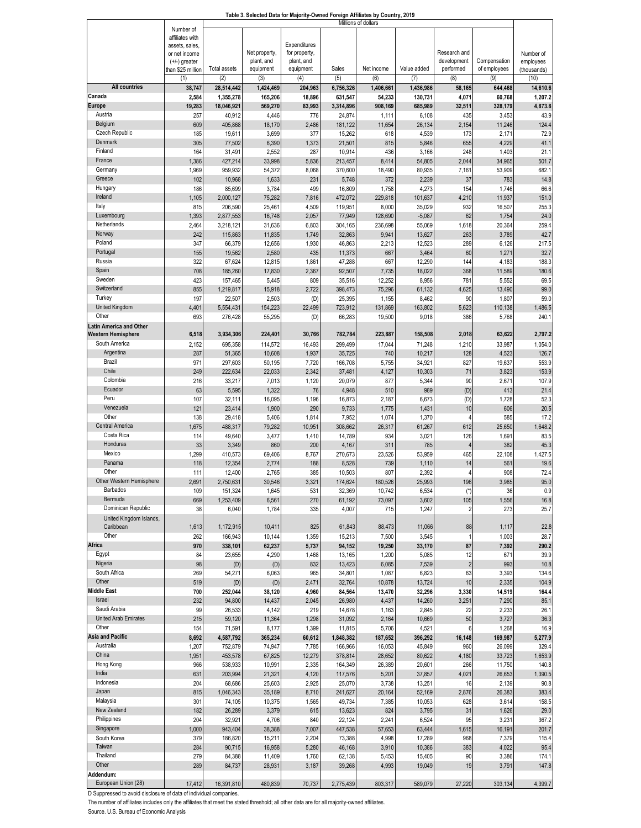#### **Table 3. Selected Data for Majority-Owned Foreign Affiliates by Country, 2019**

|                                |                              |                     |               |               |           | Millions of dollars |             |                |              |             |
|--------------------------------|------------------------------|---------------------|---------------|---------------|-----------|---------------------|-------------|----------------|--------------|-------------|
|                                | Number of<br>affiliates with |                     |               |               |           |                     |             |                |              |             |
|                                | assets, sales,               |                     |               | Expenditures  |           |                     |             |                |              |             |
|                                | or net income                |                     | Net property, | for property, |           |                     |             | Research and   |              | Number of   |
|                                | $(+/-)$ greater              |                     | plant, and    | plant, and    |           |                     |             | development    | Compensation | employees   |
|                                | than \$25 million            | <b>Total assets</b> | equipment     | equipment     | Sales     | Net income          | Value added | performed      | of employees | (thousands) |
|                                | (1)                          | (2)                 | (3)           | (4)           | (5)       | (6)                 | (7)         | (8)            | (9)          | (10)        |
| <b>All countries</b>           | 38,747                       | 28,514,442          | 1,424,469     | 204,963       | 6,756,326 | 1,406,661           | 1,436,986   | 58,165         | 644,468      | 14,610.6    |
| Canada                         | 2,584                        | 1,355,278           | 165,206       | 18,896        | 631,547   | 54,233              | 130,731     | 4,071          | 60,768       | 1,207.2     |
| Europe                         | 19,283                       | 18,046,921          | 569,270       | 83,993        | 3,314,896 | 908,169             | 685,989     | 32,511         | 328,179      | 4,873.8     |
| Austria                        | 257                          | 40,912              | 4,446         | 776           | 24,874    | 1,111               | 6,108       | 435            | 3,453        | 43.9        |
| Belgium                        | 609                          | 405,868             | 18,170        | 2,486         | 181,122   | 11,654              | 26,134      | 2,154          | 11,246       | 124.4       |
| Czech Republic                 | 185                          | 19,611              | 3,699         | 377           | 15,262    | 618                 | 4,539       | 173            | 2,171        | 72.9        |
| Denmark                        | 305                          | 77,502              | 6,390         | 1,373         | 21,501    | 815                 | 5,846       | 655            | 4,229        | 41.1        |
| Finland                        | 164                          |                     |               |               |           |                     |             | 248            |              |             |
| France                         |                              | 31,491              | 2,552         | 287           | 10,914    | 436                 | 3,166       |                | 1,403        | 21.7        |
|                                | 1,386                        | 427,214             | 33,998        | 5,836         | 213,457   | 8,414               | 54,805      | 2,044          | 34,965       | 501.7       |
| Germany                        | 1,969                        | 959,932             | 54,372        | 8,068         | 370,600   | 18,490              | 80,935      | 7,161          | 53,909       | 682.        |
| Greece                         | 102                          | 10,968              | 1,633         | 231           | 5,748     | 372                 | 2,239       | 37             | 783          | 14.8        |
| Hungary                        | 186                          | 85,699              | 3,784         | 499           | 16,809    | 1,758               | 4,273       | 154            | 1,746        | 66.6        |
| Ireland                        | 1,105                        | 2,000,127           | 75,282        | 7,816         | 472,072   | 229,818             | 101,637     | 4,210          | 11,937       | 151.0       |
| Italy                          | 815                          | 206,590             | 25,461        | 4,509         | 119,95    | 8,000               | 35,029      | 932            | 16,507       | 255.3       |
| Luxembourg                     | 1,393                        | 2,877,553           | 16,748        | 2,057         | 77,949    | 128,690             | $-5,087$    | 62             | 1,754        | 24.0        |
| Netherlands                    | 2,464                        | 3,218,121           | 31,636        | 6,803         | 304,165   | 236,698             | 55,069      | 1,618          | 20,364       | 259.4       |
| Norway                         | 242                          | 115,863             | 11,835        | 1,749         | 32,863    | 9,941               | 13,627      | 263            | 3,789        | 42.7        |
| Poland                         | 347                          | 66,379              | 12,656        | 1,930         | 46,863    | 2,213               | 12,523      | 289            | 6,126        | 217.5       |
| Portugal                       | 155                          | 19,562              | 2,580         | 435           | 11,373    | 667                 | 3,464       | 60             | 1,271        | 32.7        |
| Russia                         | 322                          | 67,624              | 12,815        | 1,861         | 47,288    | 667                 | 12,290      | 144            | 4,183        | 188.3       |
| Spain                          | 708                          | 185,260             | 17,830        | 2,367         | 92,507    | 7,735               | 18,022      | 368            | 11,589       | 180.6       |
| Sweden                         | 423                          | 157,465             | 5,445         | 809           | 35,516    | 12,252              | 8,956       | 781            | 5,552        | 69.5        |
| Switzerland                    |                              |                     |               |               |           |                     |             |                |              |             |
|                                | 855                          | 1,219,817           | 15,918        | 2,722         | 398,473   | 75,296              | 61,132      | 4,625          | 13,490       | 99.0        |
| Turkey                         | 197                          | 22,507              | 2,503         | (D)           | 25,395    | 1,155               | 8,462       | 90             | 1,807        | 59.0        |
| <b>United Kingdom</b>          | 4,401                        | 5,554,431           | 154,223       | 22,499        | 723,912   | 131,869             | 163,802     | 5,623          | 110,138      | 1,486.5     |
| Other                          | 693                          | 276,428             | 55,295        | (D)           | 66,283    | 19,500              | 9,018       | 386            | 5,768        | 240.        |
| <b>Latin America and Other</b> |                              |                     |               |               |           |                     |             |                |              |             |
| <b>Western Hemisphere</b>      | 6,518                        | 3,934,306           | 224,401       | 30,766        | 782,784   | 223,887             | 158,508     | 2,018          | 63,622       | 2,797.2     |
| South America                  | 2,152                        | 695,358             | 114,572       | 16,493        | 299,499   | 17,044              | 71,248      | 1,210          | 33,987       | 1,054.0     |
| Argentina                      | 287                          | 51,365              | 10,608        | 1,937         | 35,725    | 740                 | 10,217      | 128            | 4,523        | 126.7       |
| Brazil                         | 971                          | 297,603             | 50,195        | 7,720         | 166,708   | 5,755               | 34,921      | 827            | 19,637       | 553.9       |
| Chile                          | 249                          | 222,634             | 22,033        | 2,342         | 37,481    | 4,127               | 10,303      | 71             | 3,823        | 153.9       |
| Colombia                       | 216                          | 33,217              | 7,013         | 1,120         | 20,079    | 877                 | 5,344       | 90             | 2,67'        | 107.9       |
| Ecuador                        | 63                           | 5,595               | 1,322         | 76            | 4,948     | 510                 | 989         | (D)            | 413          | 21.4        |
| Peru                           | 107                          | 32,111              |               |               |           | 2,187               |             | (D)            |              | 52.3        |
| Venezuela                      |                              |                     | 16,095        | 1,196         | 16,873    |                     | 6,673       |                | 1,728        |             |
|                                | 121                          | 23,414              | 1,900         | 290           | 9,733     | 1,775               | 1,431       | 10             | 606          | 20.5        |
| Other                          | 138                          | 29,418              | 5,406         | 1,814         | 7,952     | 1,074               | 1,370       | 4              | 585          | 17.2        |
| Central America                | 1,675                        | 488,317             | 79,282        | 10,951        | 308,662   | 26,317              | 61,267      | 612            | 25,650       | 1,648.2     |
| Costa Rica                     | 114                          | 49,640              | 3,477         | 1,410         | 14,789    | 934                 | 3,021       | 126            | 1,691        | 83.5        |
| Honduras                       | 33                           | 3,349               | 860           | 200           | 4,167     | 311                 | 785         | $\overline{4}$ | 382          | 45.3        |
| Mexico                         | 1,299                        | 410,573             | 69,406        | 8,767         | 270,673   | 23,526              | 53,959      | 465            | 22,108       | 1,427.5     |
| Panama                         | 118                          | 12,354              | 2,774         | 188           | 8,528     | 739                 | 1,110       | 14             | 561          | 19.6        |
| Other                          | 111                          | 12,400              | 2,765         | 385           | 10,503    | 807                 | 2,392       | Δ              | 908          | 72.4        |
| Other Western Hemisphere       | 2,691                        | 2,750,631           | 30,546        | 3,321         | 174,624   | 180,526             | 25,993      | 196            | 3,985        | 95.0        |
| <b>Barbados</b>                | 109                          | 151,324             | 1,645         | 531           | 32,369    | 10,742              | 6,534       | $(*)$          | 36           | 0.9         |
| Bermuda                        | 669                          | 1,253,409           | 6,561         | 270           | 61,192    | 73,097              | 3,602       | 105            | 1,556        | 16.8        |
| Dominican Republic             | 38                           | 6,040               | 1,784         | 335           | 4,007     | 715                 | 1,247       | $\overline{c}$ | 273          | 25.7        |
| United Kingdom Islands,        |                              |                     |               |               |           |                     |             |                |              |             |
| Caribbean                      | 1,613                        | 1,172,915           | 10,411        | 825           | 61,843    | 88,473              | 11,066      | 88             | 1,117        | 22.8        |
| Other                          |                              |                     |               |               |           |                     |             |                |              |             |
|                                | 262                          | 166,943             | 10,144        | 1,359         | 15,213    | 7,500               | 3,545       | $\mathbf{1}$   | 1,003        | 28.7        |
| Africa                         | 970                          | 338,101             | 62,237        | 5,737         | 94,152    | 19,250              | 33,170      | 87             | 7,392        | 290.2       |
| Egypt                          | 84                           | 23,655              | 4,290         | 1,468         | 13,165    | 1,200               | 5,085       | 12             | 671          | 39.9        |
| Nigeria                        | 98                           | (D)                 | (D)           | 832           | 13,423    | 6,085               | 7,539       | $\overline{2}$ | 993          | 10.8        |
| South Africa                   | 269                          | 54,271              | 6,063         | 965           | 34,801    | 1,087               | 6,823       | 63             | 3,393        | 134.6       |
| Other                          | 519                          | (D)                 | (D)           | 2,471         | 32,764    | 10,878              | 13,724      | 10             | 2,335        | 104.9       |
| <b>Middle East</b>             | 700                          | 252,044             | 38,120        | 4,960         | 84,564    | 13,470              | 32,296      | 3,330          | 14,519       | 164.4       |
| Israel                         | 232                          | 94,800              | 14,437        | 2,045         | 26,980    | 4,437               | 14,260      | 3,251          | 7,290        | 85.1        |
| Saudi Arabia                   | 99                           | 26,533              | 4,142         | 219           | 14,678    | 1,163               | 2,845       | 22             | 2,233        | 26.1        |
| United Arab Emirates           | 215                          | 59,120              | 11,364        | 1,298         | 31,092    | 2,164               | 10,669      | 50             | 3,727        | 36.3        |
| Other                          | 154                          | 71,591              | 8,177         | 1,399         | 11,815    | 5,706               | 4,521       | 6              | 1,268        | 16.9        |
| Asia and Pacific               | 8,692                        | 4,587,792           | 365,234       | 60,612        | 1,848,382 | 187,652             | 396,292     | 16,148         | 169,987      | 5,277.9     |
| Australia                      | 1,207                        | 752,879             | 74,947        | 7,785         | 166,966   | 16,053              | 45,849      | 960            | 26,099       | 329.4       |
| China                          | 1,951                        | 453,578             | 67,825        | 12,279        | 378,814   | 28,652              | 80,622      | 4,180          | 33,723       | 1,653.9     |
| Hong Kong                      | 966                          | 538,933             | 10,991        | 2,335         | 164,349   | 26,389              | 20,601      | 266            | 11,750       | 140.8       |
| India                          | 631                          | 203,994             | 21,321        | 4,120         | 117,576   | 5,201               | 37,857      | 4,021          | 26,653       | 1,390.5     |
| Indonesia                      |                              |                     |               |               |           |                     |             |                |              |             |
|                                | 204                          | 68,686              | 25,603        | 2,925         | 25,070    | 3,738               | 13,251      | 16             | 2,139        | 90.8        |
| Japan                          | 815                          | 1,046,343           | 35,189        | 8,710         | 241,627   | 20,164              | 52,169      | 2,876          | 26,383       | 383.4       |
| Malaysia                       | 301                          | 74,105              | 10,375        | 1,565         | 49,734    | 7,385               | 10,053      | 628            | 3,614        | 158.5       |
| New Zealand                    | 182                          | 26,289              | 3,379         | 615           | 13,623    | 824                 | 3,795       | 31             | 1,626        | 29.0        |
| Philippines                    | 204                          | 32,921              | 4,706         | 840           | 22,124    | 2,241               | 6,524       | 95             | 3,231        | 367.2       |
| Singapore                      | 1,000                        | 943,404             | 38,388        | 7,007         | 447,538   | 57,653              | 63,444      | 1,615          | 16,191       | 201.7       |
| South Korea                    | 379                          | 186,820             | 15,211        | 2,204         | 73,388    | 4,998               | 17,289      | 968            | 7,379        | 115.4       |
| Taiwan                         | 284                          | 90,715              | 16,958        | 5,280         | 46,168    | 3,910               | 10,386      | 383            | 4,022        | 95.4        |
| Thailand                       | 279                          | 84,388              | 11,409        | 1,760         | 62,138    | 5,453               | 15,405      | 90             | 3,386        | 174.1       |
| Other                          | 289                          | 84,737              | 28,931        | 3,187         | 39,268    | 4,993               | 19,049      | 19             | 3,791        | 147.8       |
| Addendum:                      |                              |                     |               |               |           |                     |             |                |              |             |
| European Union (28)            | 17,412                       | 16,391,810          | 480,839       | 70,737        | 2,775,439 | 803,317             | 589,079     | 27,220         | 303,134      | 4,399.7     |

D Suppressed to avoid disclosure of data of individual companies.

The number of affiliates includes only the affiliates that meet the stated threshold; all other data are for all majority-owned affiliates.

Source. U.S. Bureau of Economic Analysis